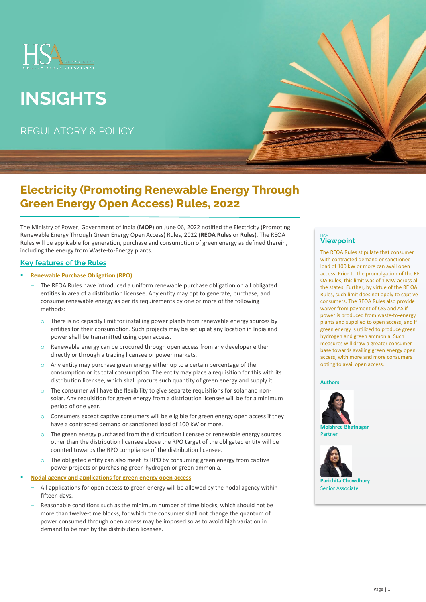

# **INSIGHTS**

REGULATORY & POLICY

## **Electricity (Promoting Renewable Energy Through Green Energy Open Access) Rules, 2022**

The Ministry of Power, Government of India (**MOP**) on June 06, 2022 notified the Electricity (Promoting Renewable Energy Through Green Energy Open Access) Rules, 2022 (**REOA Rules** or **Rules**). The REOA Rules will be applicable for generation, purchase and consumption of green energy as defined therein, including the energy from Waste-to-Energy plants.

### **Key features of the Rules**

- **Renewable Purchase Obligation (RPO)** 
	- The REOA Rules have introduced a uniform renewable purchase obligation on all obligated entities in area of a distribution licensee. Any entity may opt to generate, purchase, and consume renewable energy as per its requirements by one or more of the following methods:
		- $\circ$  There is no capacity limit for installing power plants from renewable energy sources by entities for their consumption. Such projects may be set up at any location in India and power shall be transmitted using open access.
		- o Renewable energy can be procured through open access from any developer either directly or through a trading licensee or power markets.
		- o Any entity may purchase green energy either up to a certain percentage of the consumption or its total consumption. The entity may place a requisition for this with its distribution licensee, which shall procure such quantity of green energy and supply it.
		- $\circ$  The consumer will have the flexibility to give separate requisitions for solar and nonsolar. Any requisition for green energy from a distribution licensee will be for a minimum period of one year.
		- $\circ$  Consumers except captive consumers will be eligible for green energy open access if they have a contracted demand or sanctioned load of 100 kW or more.
		- o The green energy purchased from the distribution licensee or renewable energy sources other than the distribution licensee above the RPO target of the obligated entity will be counted towards the RPO compliance of the distribution licensee.
		- $\circ$  The obligated entity can also meet its RPO by consuming green energy from captive power projects or purchasing green hydrogen or green ammonia.
- **Nodal agency and applications for green energy open access** 
	- All applications for open access to green energy will be allowed by the nodal agency within fifteen days.
	- Reasonable conditions such as the minimum number of time blocks, which should not be more than twelve-time blocks, for which the consumer shall not change the quantum of power consumed through open access may be imposed so as to avoid high variation in demand to be met by the distribution licensee.

### HSA **Viewpoint**

The REOA Rules stipulate that consumer with contracted demand or sanctioned load of 100 kW or more can avail open access. Prior to the promulgation of the RE OA Rules, this limit was of 1 MW across all the states. Further, by virtue of the RE OA Rules, such limit does not apply to captive consumers. The REOA Rules also provide waiver from payment of CSS and AS if power is produced from waste-to-energy plants and supplied to open access, and if green energy is utilized to produce green hydrogen and green ammonia. Such measures will draw a greater consumer base towards availing green energy open access, with more and more consumers opting to avail open access.

#### **Authors**



**Molshree Bhatnagar** Partner



Senior Associate